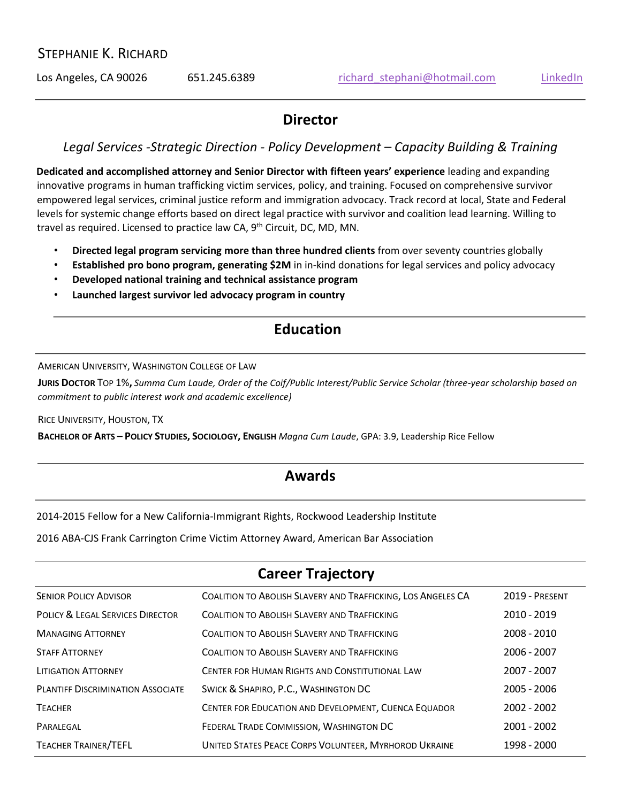### STEPHANIE K. RICHARD

Los Angeles, CA 90026 651.245.6389 richard stephani@hotmail.com [LinkedIn](https://www.linkedin.com/in/stephanie-richard-3167736/)

### **Director**

### *Legal Services -Strategic Direction - Policy Development – Capacity Building & Training*

**Dedicated and accomplished attorney and Senior Director with fifteen years' experience** leading and expanding innovative programs in human trafficking victim services, policy, and training. Focused on comprehensive survivor empowered legal services, criminal justice reform and immigration advocacy. Track record at local, State and Federal levels for systemic change efforts based on direct legal practice with survivor and coalition lead learning. Willing to travel as required. Licensed to practice law CA, 9<sup>th</sup> Circuit, DC, MD, MN.

- **Directed legal program servicing more than three hundred clients** from over seventy countries globally
- **Established pro bono program, generating \$2M** in in-kind donations for legal services and policy advocacy
- **Developed national training and technical assistance program**
- **Launched largest survivor led advocacy program in country**

### **Education**

AMERICAN UNIVERSITY, WASHINGTON COLLEGE OF LAW

**JURIS DOCTOR** TOP 1%**,** *Summa Cum Laude, Order of the Coif/Public Interest/Public Service Scholar (three-year scholarship based on commitment to public interest work and academic excellence)*

RICE UNIVERSITY, HOUSTON, TX

**BACHELOR OF ARTS – POLICY STUDIES, SOCIOLOGY, ENGLISH** *Magna Cum Laude*, GPA: 3.9, Leadership Rice Fellow

### **Awards**

2014-2015 Fellow for a New California-Immigrant Rights, Rockwood Leadership Institute

2016 ABA-CJS Frank Carrington Crime Victim Attorney Award, American Bar Association

### **Career Trajectory**

| <b>SENIOR POLICY ADVISOR</b>                | COALITION TO ABOLISH SLAVERY AND TRAFFICKING, LOS ANGELES CA | 2019 - PRESENT |
|---------------------------------------------|--------------------------------------------------------------|----------------|
| <b>POLICY &amp; LEGAL SERVICES DIRECTOR</b> | <b>COALITION TO ABOLISH SLAVERY AND TRAFFICKING</b>          | 2010 - 2019    |
| <b>MANAGING ATTORNEY</b>                    | <b>COALITION TO ABOLISH SLAVERY AND TRAFFICKING</b>          | 2008 - 2010    |
| <b>STAFF ATTORNEY</b>                       | COALITION TO ABOLISH SLAVERY AND TRAFFICKING                 | 2006 - 2007    |
| <b>LITIGATION ATTORNEY</b>                  | CENTER FOR HUMAN RIGHTS AND CONSTITUTIONAL LAW               | 2007 - 2007    |
| <b>PLANTIFF DISCRIMINATION ASSOCIATE</b>    | SWICK & SHAPIRO, P.C., WASHINGTON DC                         | $2005 - 2006$  |
| <b>TEACHER</b>                              | CENTER FOR EDUCATION AND DEVELOPMENT, CUENCA EQUADOR         | 2002 - 2002    |
| PARALEGAL                                   | FEDERAL TRADE COMMISSION, WASHINGTON DC                      | 2001 - 2002    |
| <b>TEACHER TRAINER/TEFL</b>                 | UNITED STATES PEACE CORPS VOLUNTEER, MYRHOROD UKRAINE        | 1998 - 2000    |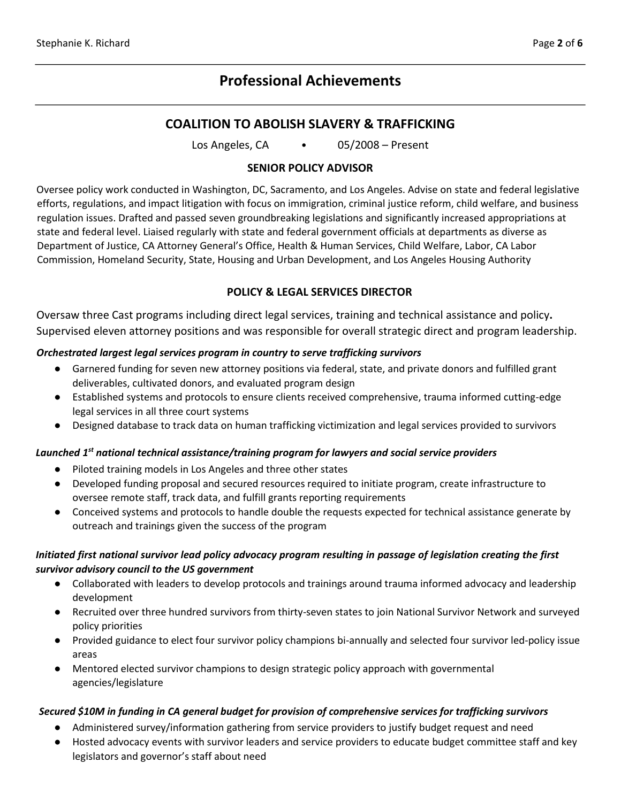## **Professional Achievements**

### **COALITION TO ABOLISH SLAVERY & TRAFFICKING**

Los Angeles, CA • 05/2008 – Present

#### **SENIOR POLICY ADVISOR**

Oversee policy work conducted in Washington, DC, Sacramento, and Los Angeles. Advise on state and federal legislative efforts, regulations, and impact litigation with focus on immigration, criminal justice reform, child welfare, and business regulation issues. Drafted and passed seven groundbreaking legislations and significantly increased appropriations at state and federal level. Liaised regularly with state and federal government officials at departments as diverse as Department of Justice, CA Attorney General's Office, Health & Human Services, Child Welfare, Labor, CA Labor Commission, Homeland Security, State, Housing and Urban Development, and Los Angeles Housing Authority

#### **POLICY & LEGAL SERVICES DIRECTOR**

Oversaw three Cast programs including direct legal services, training and technical assistance and policy**.**  Supervised eleven attorney positions and was responsible for overall strategic direct and program leadership.

#### *Orchestrated largest legal services program in country to serve trafficking survivors*

- Garnered funding for seven new attorney positions via federal, state, and private donors and fulfilled grant deliverables, cultivated donors, and evaluated program design
- Established systems and protocols to ensure clients received comprehensive, trauma informed cutting-edge legal services in all three court systems
- Designed database to track data on human trafficking victimization and legal services provided to survivors

#### *Launched 1 st national technical assistance/training program for lawyers and social service providers*

- Piloted training models in Los Angeles and three other states
- Developed funding proposal and secured resources required to initiate program, create infrastructure to oversee remote staff, track data, and fulfill grants reporting requirements
- Conceived systems and protocols to handle double the requests expected for technical assistance generate by outreach and trainings given the success of the program

#### *Initiated first national survivor lead policy advocacy program resulting in passage of legislation creating the first survivor advisory council to the US government*

- Collaborated with leaders to develop protocols and trainings around trauma informed advocacy and leadership development
- Recruited over three hundred survivors from thirty-seven states to join National Survivor Network and surveyed policy priorities
- Provided guidance to elect four survivor policy champions bi-annually and selected four survivor led-policy issue areas
- Mentored elected survivor champions to design strategic policy approach with governmental agencies/legislature

#### *Secured \$10M in funding in CA general budget for provision of comprehensive services for trafficking survivors*

- Administered survey/information gathering from service providers to justify budget request and need
- Hosted advocacy events with survivor leaders and service providers to educate budget committee staff and key legislators and governor's staff about need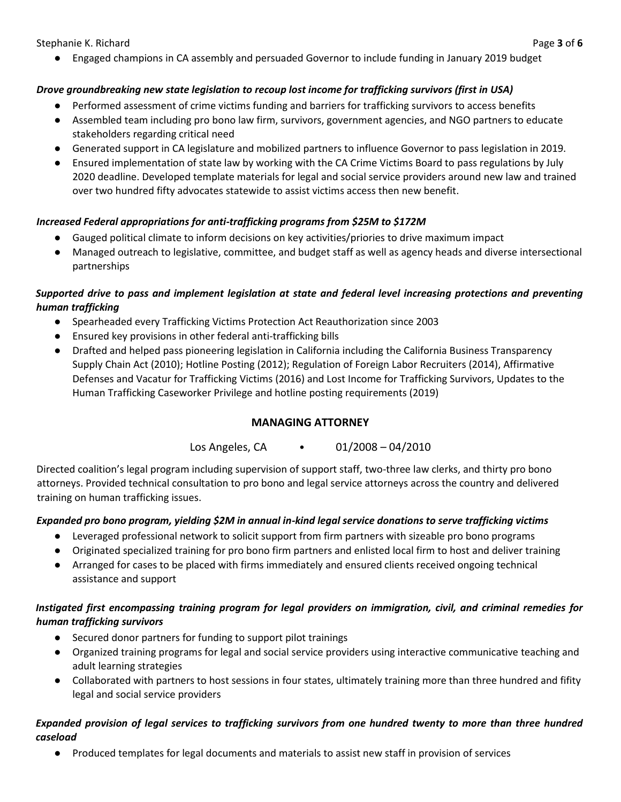Stephanie K. Richard Page **3** of **6**

● Engaged champions in CA assembly and persuaded Governor to include funding in January 2019 budget

#### *Drove groundbreaking new state legislation to recoup lost income for trafficking survivors (first in USA)*

- Performed assessment of crime victims funding and barriers for trafficking survivors to access benefits
- Assembled team including pro bono law firm, survivors, government agencies, and NGO partners to educate stakeholders regarding critical need
- Generated support in CA legislature and mobilized partners to influence Governor to pass legislation in 2019.
- Ensured implementation of state law by working with the CA Crime Victims Board to pass regulations by July 2020 deadline. Developed template materials for legal and social service providers around new law and trained over two hundred fifty advocates statewide to assist victims access then new benefit.

#### *Increased Federal appropriations for anti-trafficking programs from \$25M to \$172M*

- Gauged political climate to inform decisions on key activities/priories to drive maximum impact
- Managed outreach to legislative, committee, and budget staff as well as agency heads and diverse intersectional partnerships

#### *Supported drive to pass and implement legislation at state and federal level increasing protections and preventing human trafficking*

- Spearheaded every Trafficking Victims Protection Act Reauthorization since 2003
- Ensured key provisions in other federal anti-trafficking bills
- Drafted and helped pass pioneering legislation in California including the California Business Transparency Supply Chain Act (2010); Hotline Posting (2012); Regulation of Foreign Labor Recruiters (2014), Affirmative Defenses and Vacatur for Trafficking Victims (2016) and Lost Income for Trafficking Survivors, Updates to the Human Trafficking Caseworker Privilege and hotline posting requirements (2019)

#### **MANAGING ATTORNEY**

Los Angeles, CA • 01/2008 – 04/2010

Directed coalition's legal program including supervision of support staff, two-three law clerks, and thirty pro bono attorneys. Provided technical consultation to pro bono and legal service attorneys across the country and delivered training on human trafficking issues.

#### *Expanded pro bono program, yielding \$2M in annual in-kind legal service donations to serve trafficking victims*

- Leveraged professional network to solicit support from firm partners with sizeable pro bono programs
- Originated specialized training for pro bono firm partners and enlisted local firm to host and deliver training
- Arranged for cases to be placed with firms immediately and ensured clients received ongoing technical assistance and support

#### *Instigated first encompassing training program for legal providers on immigration, civil, and criminal remedies for human trafficking survivors*

- Secured donor partners for funding to support pilot trainings
- Organized training programs for legal and social service providers using interactive communicative teaching and adult learning strategies
- Collaborated with partners to host sessions in four states, ultimately training more than three hundred and fifity legal and social service providers

#### *Expanded provision of legal services to trafficking survivors from one hundred twenty to more than three hundred caseload*

● Produced templates for legal documents and materials to assist new staff in provision of services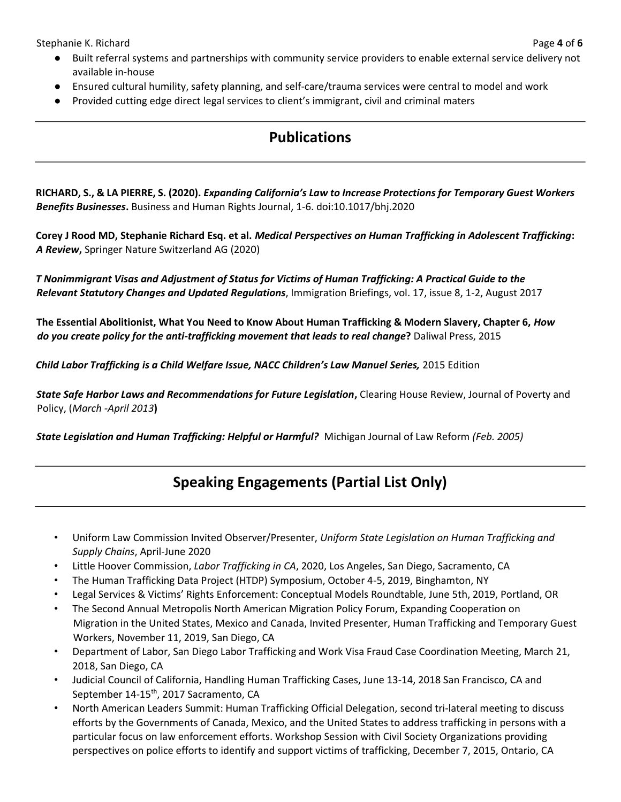Stephanie K. Richard Page **4** of **6**

- Built referral systems and partnerships with community service providers to enable external service delivery not available in-house
- Ensured cultural humility, safety planning, and self-care/trauma services were central to model and work
- Provided cutting edge direct legal services to client's immigrant, civil and criminal maters

## **Publications**

**RICHARD, S., & LA PIERRE, S. (2020).** *Expanding California's Law to Increase Protections for Temporary Guest Workers Benefits Businesses***.** Business and Human Rights Journal, 1-6. doi:10.1017/bhj.2020

**Corey J Rood MD, Stephanie Richard Esq. et al.** *Medical Perspectives on Human Trafficking in Adolescent Trafficking***:**  *A Review***,** Springer Nature Switzerland AG (2020)

*T Nonimmigrant Visas and Adjustment of Status for Victims of Human Trafficking: A Practical Guide to the Relevant Statutory Changes and Updated Regulations*, Immigration Briefings, vol. 17, issue 8, 1-2, August 2017

**The Essential Abolitionist, What You Need to Know About Human Trafficking & Modern Slavery, Chapter 6,** *How do you create policy for the anti-trafficking movement that leads to real change***?** Daliwal Press, 2015

*Child Labor Trafficking is a Child Welfare Issue, NACC Children's Law Manuel Series, 2015 Edition* 

*State Safe Harbor Laws and Recommendations for Future Legislation***,** Clearing House Review, Journal of Poverty and Policy, (*March -April 2013***)** 

*State Legislation and Human Trafficking: Helpful or Harmful?* Michigan Journal of Law Reform *(Feb. 2005)*

## **Speaking Engagements (Partial List Only)**

- Uniform Law Commission Invited Observer/Presenter, *Uniform State Legislation on Human Trafficking and Supply Chains*, April-June 2020
- Little Hoover Commission, *Labor Trafficking in CA*, 2020, Los Angeles, San Diego, Sacramento, CA
- The Human Trafficking Data Project (HTDP) Symposium, October 4-5, 2019, Binghamton, NY
- Legal Services & Victims' Rights Enforcement: Conceptual Models Roundtable, June 5th, 2019, Portland, OR
- The Second Annual Metropolis North American Migration Policy Forum, Expanding Cooperation on Migration in the United States, Mexico and Canada, Invited Presenter, Human Trafficking and Temporary Guest Workers, November 11, 2019, San Diego, CA
- Department of Labor, San Diego Labor Trafficking and Work Visa Fraud Case Coordination Meeting, March 21, 2018, San Diego, CA
- Judicial Council of California, Handling Human Trafficking Cases, June 13-14, 2018 San Francisco, CA and September 14-15<sup>th</sup>, 2017 Sacramento, CA
- North American Leaders Summit: Human Trafficking Official Delegation, second tri-lateral meeting to discuss efforts by the Governments of Canada, Mexico, and the United States to address trafficking in persons with a particular focus on law enforcement efforts. Workshop Session with Civil Society Organizations providing perspectives on police efforts to identify and support victims of trafficking, December 7, 2015, Ontario, CA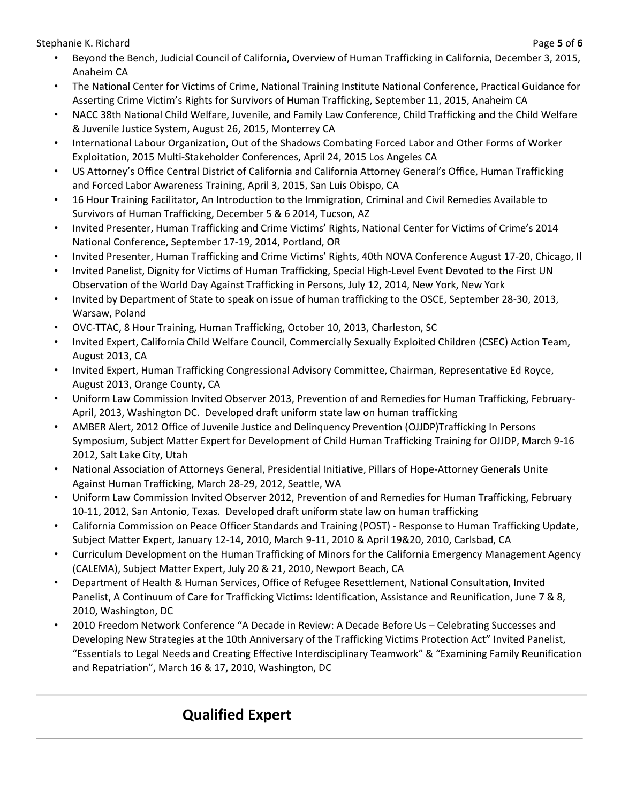Stephanie K. Richard Page **5** of **6**

- Beyond the Bench, Judicial Council of California, Overview of Human Trafficking in California, December 3, 2015, Anaheim CA
- The National Center for Victims of Crime, National Training Institute National Conference, Practical Guidance for Asserting Crime Victim's Rights for Survivors of Human Trafficking, September 11, 2015, Anaheim CA
- NACC 38th National Child Welfare, Juvenile, and Family Law Conference, Child Trafficking and the Child Welfare & Juvenile Justice System, August 26, 2015, Monterrey CA
- International Labour Organization, Out of the Shadows Combating Forced Labor and Other Forms of Worker Exploitation, 2015 Multi-Stakeholder Conferences, April 24, 2015 Los Angeles CA
- US Attorney's Office Central District of California and California Attorney General's Office, Human Trafficking and Forced Labor Awareness Training, April 3, 2015, San Luis Obispo, CA
- 16 Hour Training Facilitator, An Introduction to the Immigration, Criminal and Civil Remedies Available to Survivors of Human Trafficking, December 5 & 6 2014, Tucson, AZ
- Invited Presenter, Human Trafficking and Crime Victims' Rights, National Center for Victims of Crime's 2014 National Conference, September 17-19, 2014, Portland, OR
- Invited Presenter, Human Trafficking and Crime Victims' Rights, 40th NOVA Conference August 17-20, Chicago, Il
- Invited Panelist, Dignity for Victims of Human Trafficking, Special High-Level Event Devoted to the First UN Observation of the World Day Against Trafficking in Persons, July 12, 2014, New York, New York
- Invited by Department of State to speak on issue of human trafficking to the OSCE, September 28-30, 2013, Warsaw, Poland
- OVC-TTAC, 8 Hour Training, Human Trafficking, October 10, 2013, Charleston, SC
- Invited Expert, California Child Welfare Council, Commercially Sexually Exploited Children (CSEC) Action Team, August 2013, CA
- Invited Expert, Human Trafficking Congressional Advisory Committee, Chairman, Representative Ed Royce, August 2013, Orange County, CA
- Uniform Law Commission Invited Observer 2013, Prevention of and Remedies for Human Trafficking, February-April, 2013, Washington DC. Developed draft uniform state law on human trafficking
- AMBER Alert, 2012 Office of Juvenile Justice and Delinquency Prevention (OJJDP)Trafficking In Persons Symposium, Subject Matter Expert for Development of Child Human Trafficking Training for OJJDP, March 9-16 2012, Salt Lake City, Utah
- National Association of Attorneys General, Presidential Initiative, Pillars of Hope-Attorney Generals Unite Against Human Trafficking, March 28-29, 2012, Seattle, WA
- Uniform Law Commission Invited Observer 2012, Prevention of and Remedies for Human Trafficking, February 10-11, 2012, San Antonio, Texas. Developed draft uniform state law on human trafficking
- California Commission on Peace Officer Standards and Training (POST) Response to Human Trafficking Update, Subject Matter Expert, January 12-14, 2010, March 9-11, 2010 & April 19&20, 2010, Carlsbad, CA
- Curriculum Development on the Human Trafficking of Minors for the California Emergency Management Agency (CALEMA), Subject Matter Expert, July 20 & 21, 2010, Newport Beach, CA
- Department of Health & Human Services, Office of Refugee Resettlement, National Consultation, Invited Panelist, A Continuum of Care for Trafficking Victims: Identification, Assistance and Reunification, June 7 & 8, 2010, Washington, DC
- 2010 Freedom Network Conference "A Decade in Review: A Decade Before Us Celebrating Successes and Developing New Strategies at the 10th Anniversary of the Trafficking Victims Protection Act" Invited Panelist, "Essentials to Legal Needs and Creating Effective Interdisciplinary Teamwork" & "Examining Family Reunification and Repatriation", March 16 & 17, 2010, Washington, DC

# **Qualified Expert**